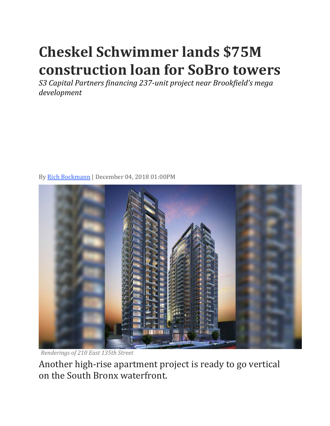## **Cheskel Schwimmer lands \$75M construction loan for SoBro towers**

*S3 Capital Partners financing 237-unit project near Brookfield's mega development*



By [Rich Bockmann](https://therealdeal.com/looks/Rich%20Bockmann/by) | December 04, 2018 01:00PM

*Renderings of 210 East 135th Street*

Another high-rise apartment project is ready to go vertical on the South Bronx waterfront.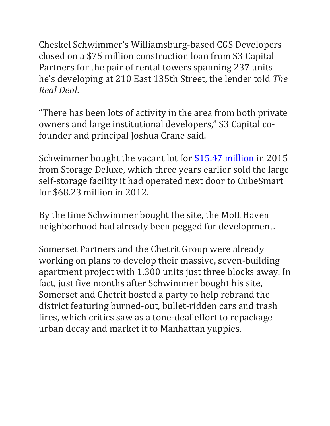Cheskel Schwimmer's Williamsburg-based CGS Developers closed on a \$75 million construction loan from S3 Capital Partners for the pair of rental towers spanning 237 units he's developing at 210 East 135th Street, the lender told *The Real Deal*.

"There has been lots of activity in the area from both private owners and large institutional developers," S3 Capital cofounder and principal Joshua Crane said.

Schwimmer bought the vacant lot for [\\$15.47 million](https://therealdeal.com/2015/06/02/heres-what-the-10m-20m-nyc-investment-sales-market-looked-like-last-week-24/) in 2015 from Storage Deluxe, which three years earlier sold the large self-storage facility it had operated next door to CubeSmart for \$68.23 million in 2012.

By the time Schwimmer bought the site, the Mott Haven neighborhood had already been pegged for development.

Somerset Partners and the Chetrit Group were already working on plans to develop their massive, seven-building apartment project with 1,300 units just three blocks away. In fact, just five months after Schwimmer bought his site, Somerset and Chetrit hosted a party to help rebrand the district featuring burned-out, bullet-ridden cars and trash fires, which critics saw as a tone-deaf effort to repackage urban decay and market it to Manhattan yuppies.